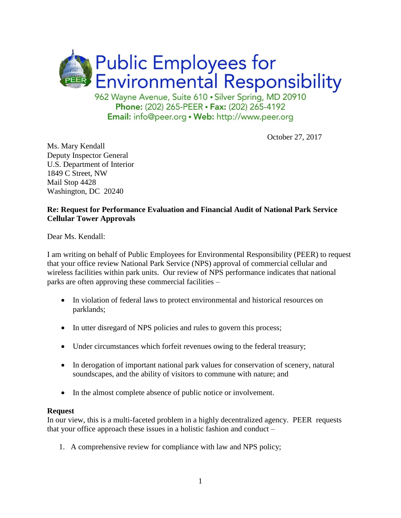

Phone: (202) 265-PEER · Fax: (202) 265-4192 Email: info@peer.org . Web: http://www.peer.org

October 27, 2017

Ms. Mary Kendall Deputy Inspector General U.S. Department of Interior 1849 C Street, NW Mail Stop 4428 Washington, DC 20240

## **Re: Request for Performance Evaluation and Financial Audit of National Park Service Cellular Tower Approvals**

Dear Ms. Kendall:

I am writing on behalf of Public Employees for Environmental Responsibility (PEER) to request that your office review National Park Service (NPS) approval of commercial cellular and wireless facilities within park units. Our review of NPS performance indicates that national parks are often approving these commercial facilities –

- In violation of federal laws to protect environmental and historical resources on parklands;
- In utter disregard of NPS policies and rules to govern this process;
- Under circumstances which forfeit revenues owing to the federal treasury;
- In derogation of important national park values for conservation of scenery, natural soundscapes, and the ability of visitors to commune with nature; and
- In the almost complete absence of public notice or involvement.

### **Request**

In our view, this is a multi-faceted problem in a highly decentralized agency. PEER requests that your office approach these issues in a holistic fashion and conduct –

1. A comprehensive review for compliance with law and NPS policy;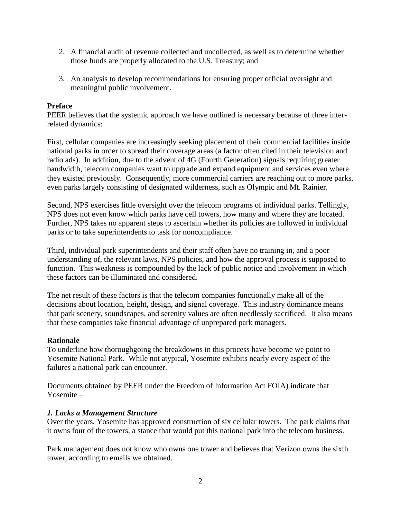- 2. A financial audit of revenue collected and uncollected, as well as to determine whether those funds are properly allocated to the U.S. Treasury; and
- 3. An analysis to develop recommendations for ensuring proper official oversight and meaningful public involvement.

## **Preface**

PEER believes that the systemic approach we have outlined is necessary because of three interrelated dynamics:

First, cellular companies are increasingly seeking placement of their commercial facilities inside national parks in order to spread their coverage areas (a factor often cited in their television and radio ads). In addition, due to the advent of 4G (Fourth Generation) signals requiring greater bandwidth, telecom companies want to upgrade and expand equipment and services even where they existed previously. Consequently, more commercial carriers are reaching out to more parks, even parks largely consisting of designated wilderness, such as Olympic and Mt. Rainier.

Second, NPS exercises little oversight over the telecom programs of individual parks. Tellingly, NPS does not even know which parks have cell towers, how many and where they are located. Further, NPS takes no apparent steps to ascertain whether its policies are followed in individual parks or to take superintendents to task for noncompliance.

Third, individual park superintendents and their staff often have no training in, and a poor understanding of, the relevant laws, NPS policies, and how the approval process is supposed to function. This weakness is compounded by the lack of public notice and involvement in which these factors can be illuminated and considered.

The net result of these factors is that the telecom companies functionally make all of the decisions about location, height, design, and signal coverage. This industry dominance means that park scenery, soundscapes, and serenity values are often needlessly sacrificed. It also means that these companies take financial advantage of unprepared park managers.

### **Rationale**

To underline how thoroughgoing the breakdowns in this process have become we point to Yosemite National Park. While not atypical, Yosemite exhibits nearly every aspect of the failures a national park can encounter.

Documents obtained by PEER under the Freedom of Information Act FOIA) indicate that Yosemite –

#### *1. Lacks a Management Structure*

Over the years, Yosemite has approved construction of six cellular towers. The park claims that it owns four of the towers, a stance that would put this national park into the telecom business.

Park management does not know who owns one tower and believes that Verizon owns the sixth tower, according to emails we obtained.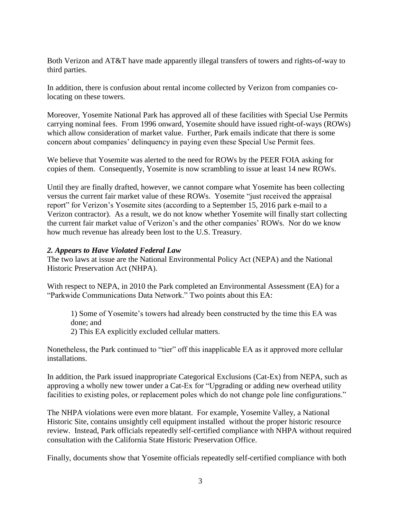Both Verizon and AT&T have made apparently illegal transfers of towers and rights-of-way to third parties.

In addition, there is confusion about rental income collected by Verizon from companies colocating on these towers.

Moreover, Yosemite National Park has approved all of these facilities with Special Use Permits carrying nominal fees. From 1996 onward, Yosemite should have issued right-of-ways (ROWs) which allow consideration of market value. Further, Park emails indicate that there is some concern about companies' delinquency in paying even these Special Use Permit fees.

We believe that Yosemite was alerted to the need for ROWs by the PEER FOIA asking for copies of them. Consequently, Yosemite is now scrambling to issue at least 14 new ROWs.

Until they are finally drafted, however, we cannot compare what Yosemite has been collecting versus the current fair market value of these ROWs. Yosemite "just received the appraisal report" for Verizon's Yosemite sites (according to a September 15, 2016 park e-mail to a Verizon contractor). As a result, we do not know whether Yosemite will finally start collecting the current fair market value of Verizon's and the other companies' ROWs. Nor do we know how much revenue has already been lost to the U.S. Treasury.

### *2. Appears to Have Violated Federal Law*

The two laws at issue are the National Environmental Policy Act (NEPA) and the National Historic Preservation Act (NHPA).

With respect to NEPA, in 2010 the Park completed an Environmental Assessment (EA) for a "Parkwide Communications Data Network." Two points about this EA:

1) Some of Yosemite's towers had already been constructed by the time this EA was done; and

2) This EA explicitly excluded cellular matters.

Nonetheless, the Park continued to "tier" off this inapplicable EA as it approved more cellular installations.

In addition, the Park issued inappropriate Categorical Exclusions (Cat-Ex) from NEPA, such as approving a wholly new tower under a Cat-Ex for "Upgrading or adding new overhead utility facilities to existing poles, or replacement poles which do not change pole line configurations."

The NHPA violations were even more blatant. For example, Yosemite Valley, a National Historic Site, contains unsightly cell equipment installed without the proper historic resource review. Instead, Park officials repeatedly self-certified compliance with NHPA without required consultation with the California State Historic Preservation Office.

Finally, documents show that Yosemite officials repeatedly self-certified compliance with both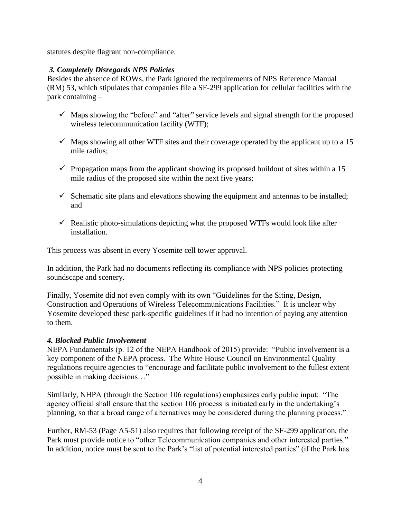statutes despite flagrant non-compliance.

# *3. Completely Disregards NPS Policies*

Besides the absence of ROWs, the Park ignored the requirements of NPS Reference Manual (RM) 53, which stipulates that companies file a SF-299 application for cellular facilities with the park containing –

- $\checkmark$  Maps showing the "before" and "after" service levels and signal strength for the proposed wireless telecommunication facility (WTF);
- $\checkmark$  Maps showing all other WTF sites and their coverage operated by the applicant up to a 15 mile radius;
- $\checkmark$  Propagation maps from the applicant showing its proposed buildout of sites within a 15 mile radius of the proposed site within the next five years;
- $\checkmark$  Schematic site plans and elevations showing the equipment and antennas to be installed; and
- $\checkmark$  Realistic photo-simulations depicting what the proposed WTFs would look like after installation.

This process was absent in every Yosemite cell tower approval.

In addition, the Park had no documents reflecting its compliance with NPS policies protecting soundscape and scenery.

Finally, Yosemite did not even comply with its own "Guidelines for the Siting, Design, Construction and Operations of Wireless Telecommunications Facilities." It is unclear why Yosemite developed these park-specific guidelines if it had no intention of paying any attention to them.

# *4. Blocked Public Involvement*

NEPA Fundamentals (p. 12 of the NEPA Handbook of 2015) provide: "Public involvement is a key component of the NEPA process. The White House Council on Environmental Quality regulations require agencies to "encourage and facilitate public involvement to the fullest extent possible in making decisions…"

Similarly, NHPA (through the Section 106 regulations) emphasizes early public input: "The agency official shall ensure that the section 106 process is initiated early in the undertaking's planning, so that a broad range of alternatives may be considered during the planning process."

Further, RM-53 (Page A5-51) also requires that following receipt of the SF-299 application, the Park must provide notice to "other Telecommunication companies and other interested parties." In addition, notice must be sent to the Park's "list of potential interested parties" (if the Park has